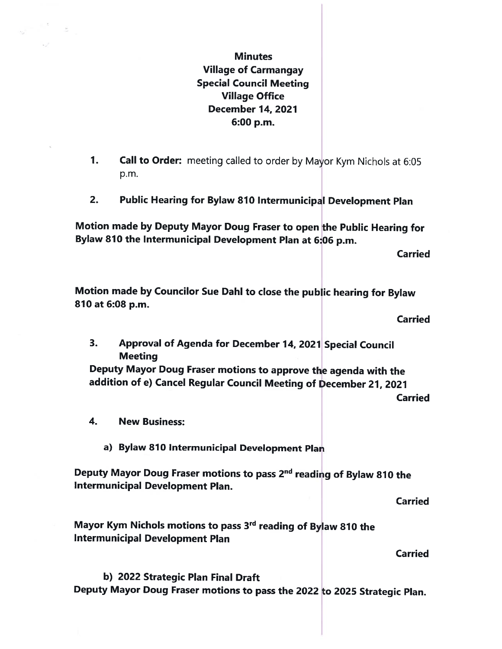**Minutes** Village of Carmangay Special Council Meeting Village Office December 14, 2021 6:00 p.m.

- 1. Call to Order: meeting called to order by Mayor Kym Nichols at 6:05 p.m.
- 2. Public Hearing for Bylaw 810 Intermunicipal Development Plan

Motion made by Deputy Mayor Doug Fraser to open the Public Hearing for Bylaw 810 the Intermunicipal Development Plan at 6:06 p.m.

Carried

Motion made by Councilor Sue Dahl to close the public hearing for Bylaw 810 at 6:08 p.m.

**Carried** 

3. Approval of Agenda for December 14, <sup>2021</sup> Special Council **Meeting** 

Deputy Mayor Doug Fraser motions to approve the agenda with the addition of e) Cancel Regular Council Meeting of December 21, 2021

Carried

- 4. New Business:
	- a) Bylaw 810 Intermunicipal Development Plan

Deputy Mayor Doug Fraser motions to pass 2<sup>nd</sup> reading of Bylaw 810 the Intermunicipal Development Plan.

**Carried** 

Mayor Kym Nichols motions to pass 3<sup>rd</sup> reading of Bylaw 810 the Intermunicipal Development Plan

**Carried** 

b) 2022 Strategic Plan Final Draft Deputy Mayor Doug Fraser motions to pass the 2022 to 2025 Strategic Plan.